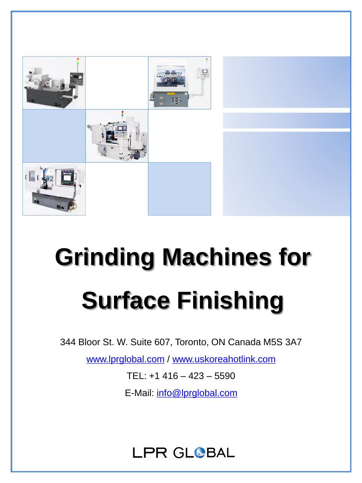

# **Grinding Machines for Surface Finishing**

344 Bloor St. W. Suite 607, Toronto, ON Canada M5S 3A7

[www.lprglobal.com](http://www.lprglobal.com/) / [www.uskoreahotlink.com](http://www.uskoreahotlink.com/)

TEL: +1 416 – 423 – 5590

E-Mail: [info@lprglobal.com](mailto:info@lprglobal.com)

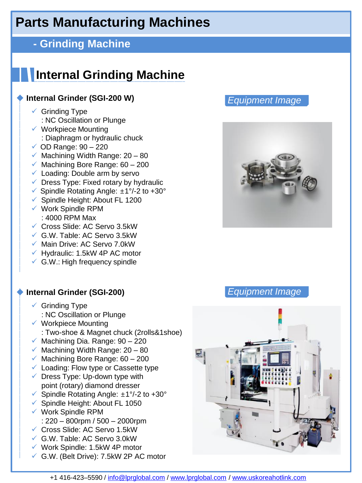#### **- Grinding Machine**

# **Internal Grinding Machine**

#### **Internal Grinder (SGI-200 W)**

- $\checkmark$  Grinding Type : NC Oscillation or Plunge
- ✓ Workpiece Mounting : Diaphragm or hydraulic chuck
- $\checkmark$  OD Range: 90 220
- $\checkmark$  Machining Width Range: 20 80
- $\checkmark$  Machining Bore Range: 60 200
- $\checkmark$  Loading: Double arm by servo
- ✓ Dress Type: Fixed rotary by hydraulic
- ✓ Spindle Rotating Angle: ±1°/-2 to +30°
- ✓ Spindle Height: About FL 1200
- ✓ Work Spindle RPM : 4000 RPM Max
- ✓ Cross Slide: AC Servo 3.5kW
- ✓ G.W. Table: AC Servo 3.5kW
- ✓ Main Drive: AC Servo 7.0kW
- $\checkmark$  Hydraulic: 1.5kW 4P AC motor
- $\checkmark$  G.W.: High frequency spindle

#### ◆ **Internal Grinder (SGI-200)** *Equipment Image*

- $\checkmark$  Grinding Type : NC Oscillation or Plunge
- $\checkmark$  Workpiece Mounting : Two-shoe & Magnet chuck (2rolls&1shoe)
- $\checkmark$  Machining Dia. Range: 90 220
- $\checkmark$  Machining Width Range: 20 80
- $\checkmark$  Machining Bore Range: 60 200
- $\checkmark$  Loading: Flow type or Cassette type
- $\checkmark$  Dress Type: Up-down type with point (rotary) diamond dresser
- ✓ Spindle Rotating Angle: ±1°/-2 to +30°
- ✓ Spindle Height: About FL 1050
- ✓ Work Spindle RPM : 220 – 800rpm / 500 – 2000rpm
- ✓ Cross Slide: AC Servo 1.5kW
- ✓ G.W. Table: AC Servo 3.0kW
- ✓ Work Spindle: 1.5kW 4P motor
- ✓ G.W. (Belt Drive): 7.5kW 2P AC motor





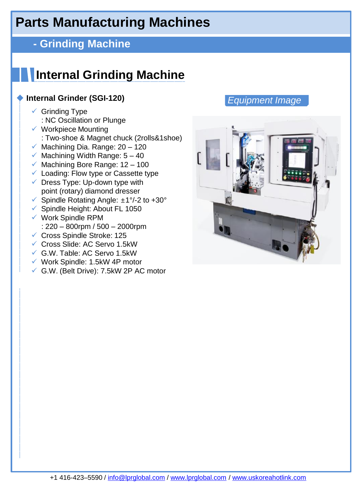## **- Grinding Machine**

# **Internal Grinding Machine**

#### **Internal Grinder (SGI-120)**

- $\checkmark$  Grinding Type : NC Oscillation or Plunge
- ✓ Workpiece Mounting
- : Two-shoe & Magnet chuck (2rolls&1shoe)
- $\checkmark$  Machining Dia. Range: 20 120
- $\checkmark$  Machining Width Range:  $5 40$
- $\checkmark$  Machining Bore Range: 12 100
- ✓ Loading: Flow type or Cassette type
- $\checkmark$  Dress Type: Up-down type with point (rotary) diamond dresser
- ✓ Spindle Rotating Angle: ±1°/-2 to +30°
- ✓ Spindle Height: About FL 1050
- ✓ Work Spindle RPM : 220 – 800rpm / 500 – 2000rpm
- ✓ Cross Spindle Stroke: 125
- ✓ Cross Slide: AC Servo 1.5kW
- ✓ G.W. Table: AC Servo 1.5kW
- ✓ Work Spindle: 1.5kW 4P motor
- ✓ G.W. (Belt Drive): 7.5kW 2P AC motor

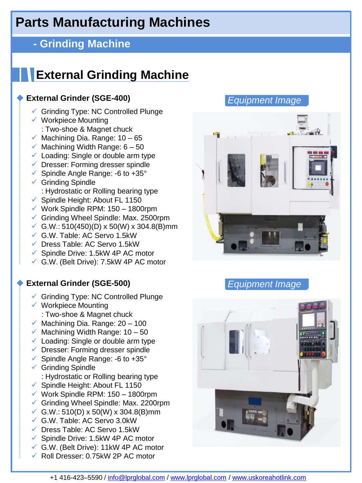### **- Grinding Machine**

# **External Grinding Machine**

#### **External Grinder (SGE-400)**

- ✓ Grinding Type: NC Controlled Plunge
- ✓ Workpiece Mounting : Two-shoe & Magnet chuck
- $\checkmark$  Machining Dia. Range: 10 65
- $\checkmark$  Machining Width Range: 6 50
- $\checkmark$  Loading: Single or double arm type
- $\checkmark$  Dresser: Forming dresser spindle
- ✓ Spindle Angle Range: -6 to +35°
- $\checkmark$  Grinding Spindle : Hydrostatic or Rolling bearing type
- ✓ Spindle Height: About FL 1150
- $\checkmark$  Work Spindle RPM: 150 1800rpm
- ✓ Grinding Wheel Spindle: Max. 2500rpm
- ✓ G.W.: 510(450)(D) x 50(W) x 304.8(B)mm
- ✓ G.W. Table: AC Servo 1.5kW
- ✓ Dress Table: AC Servo 1.5kW
- ✓ Spindle Drive: 1.5kW 4P AC motor
- ✓ G.W. (Belt Drive): 7.5kW 4P AC motor

#### ◆ **External Grinder (SGE-500)** *Equipment Image*

- ✓ Grinding Type: NC Controlled Plunge
- ✓ Workpiece Mounting : Two-shoe & Magnet chuck
- $\checkmark$  Machining Dia. Range: 20 100
- $\times$  Machining Width Range: 10 50
- $\checkmark$  Loading: Single or double arm type
- ✓ Dresser: Forming dresser spindle
- ✓ Spindle Angle Range: -6 to +35°
- $\checkmark$  Grinding Spindle : Hydrostatic or Rolling bearing type
- ✓ Spindle Height: About FL 1150
- $\checkmark$  Work Spindle RPM: 150 1800rpm
- ✓ Grinding Wheel Spindle: Max. 2200rpm
- ✓ G.W.: 510(D) x 50(W) x 304.8(B)mm
- ✓ G.W. Table: AC Servo 3.0kW
- ✓ Dress Table: AC Servo 1.5kW
- $\checkmark$  Spindle Drive: 1.5kW 4P AC motor
- ✓ G.W. (Belt Drive): 11kW 4P AC motor
- ✓ Roll Dresser: 0.75kW 2P AC motor





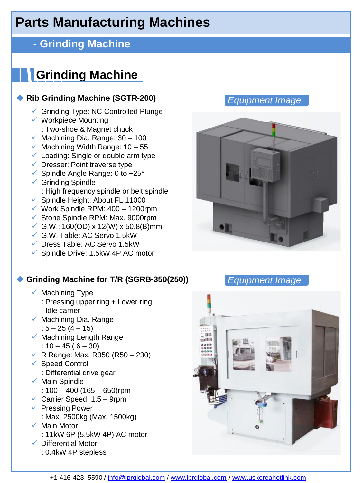## **- Grinding Machine**

# **Grinding Machine**

#### ◆ **Rib Grinding Machine (SGTR-200)**

- ✓ Grinding Type: NC Controlled Plunge
- ✓ Workpiece Mounting : Two-shoe & Magnet chuck
- $\checkmark$  Machining Dia. Range: 30 100
- $\times$  Machining Width Range: 10 55
- $\checkmark$  Loading: Single or double arm type
- $\checkmark$  Dresser: Point traverse type
- ✓ Spindle Angle Range: 0 to +25°
- $\checkmark$  Grinding Spindle : High frequency spindle or belt spindle
- ✓ Spindle Height: About FL 11000
- $\checkmark$  Work Spindle RPM: 400 1200rpm
- ✓ Stone Spindle RPM: Max. 9000rpm
- ✓ G.W.: 160(OD) x 12(W) x 50.8(B)mm
- ✓ G.W. Table: AC Servo 1.5kW
- ✓ Dress Table: AC Servo 1.5kW
- ✓ Spindle Drive: 1.5kW 4P AC motor

#### ◆ **Grinding Machine for T/R (SGRB-350(250))** *Equipment Image*

- $\checkmark$  Machining Type
	- : Pressing upper ring + Lower ring, Idle carrier
- $\checkmark$  Machining Dia. Range : 5 – 25 (4 – 15)
- $\checkmark$  Machining Length Range :  $10 - 45 (6 - 30)$
- $✓ R Range: Max. R350 (R50 230)$
- ✓ Speed Control : Differential drive gear
- ✓ Main Spindle
	- :  $100 400$  (165 650)rpm
- $\checkmark$  Carrier Speed: 1.5 9rpm
- ✓ Pressing Power : Max. 2500kg (Max. 1500kg)
- ✓ Main Motor
	- : 11kW 6P (5.5kW 4P) AC motor
- ✓ Differential Motor
	- : 0.4kW 4P stepless





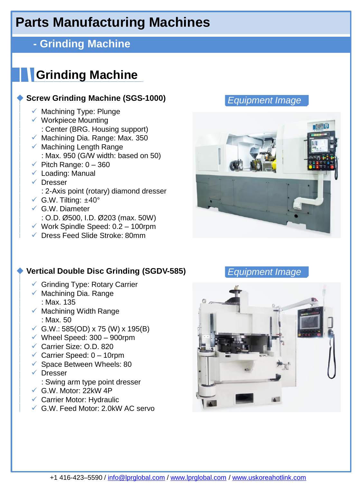## **- Grinding Machine**

# **Grinding Machine**

#### **Screw Grinding Machine (SGS-1000)**

- $\checkmark$  Machining Type: Plunge
- ✓ Workpiece Mounting : Center (BRG. Housing support)
- $\checkmark$  Machining Dia. Range: Max. 350
- $\checkmark$  Machining Length Range : Max. 950 (G/W width: based on 50)
- $\checkmark$  Pitch Range: 0 360
- $\checkmark$  Loading: Manual
- ✓ Dresser
	- : 2-Axis point (rotary) diamond dresser
- $\checkmark$  G.W. Tilting:  $\pm 40^\circ$
- $\checkmark$  G.W. Diameter
- : O.D. Ø 500, I.D. Ø 203 (max. 50W)
- ✓ Work Spindle Speed: 0.2 100rpm
- ✓ Dress Feed Slide Stroke: 80mm

#### ◆ **Vertical Double Disc Grinding (SGDV-585)** *Equipment Image*

- ✓ Grinding Type: Rotary Carrier
- $\checkmark$  Machining Dia. Range : Max. 135
- $\checkmark$  Machining Width Range : Max. 50
- ✓ G.W.: 585(OD) x 75 (W) x 195(B)
- $\checkmark$  Wheel Speed: 300 900rpm
- ✓ Carrier Size: O.D. 820
- $\checkmark$  Carrier Speed: 0 10rpm
- $\checkmark$  Space Between Wheels: 80
- ✓ Dresser
	- : Swing arm type point dresser
- $\checkmark$  G.W. Motor: 22kW 4P
- ✓ Carrier Motor: Hydraulic
- ✓ G.W. Feed Motor: 2.0kW AC servo



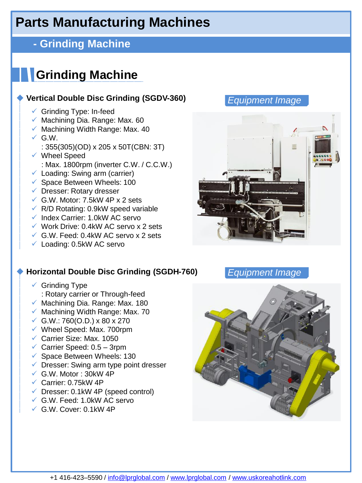## **- Grinding Machine**

# **Grinding Machine**

#### **Vertical Double Disc Grinding (SGDV-360)**

- $\checkmark$  Grinding Type: In-feed
- $\checkmark$  Machining Dia. Range: Max. 60
- $\times$  Machining Width Range: Max. 40
- $\checkmark$  G.W.
	- : 355(305)(OD) x 205 x 50T(CBN: 3T)
- ✓ Wheel Speed : Max. 1800rpm (inverter C.W. / C.C.W.)
- $\checkmark$  Loading: Swing arm (carrier)
- $\checkmark$  Space Between Wheels: 100
- ✓ Dresser: Rotary dresser
- $\checkmark$  G.W. Motor: 7.5kW 4P x 2 sets
- $\sqrt{R/D}$  Rotating: 0.9kW speed variable
- $\checkmark$  Index Carrier: 1.0kW AC servo
- ✓ Work Drive: 0.4kW AC servo x 2 sets
- $\checkmark$  G.W. Feed: 0.4kW AC servo x 2 sets
- $\checkmark$  Loading: 0.5kW AC servo

#### ◆ **Horizontal Double Disc Grinding (SGDH-760)** *Equipment Image*

- $\checkmark$  Grinding Type
	- : Rotary carrier or Through-feed
- $\checkmark$  Machining Dia. Range: Max. 180
- $\checkmark$  Machining Width Range: Max. 70
- ✓ G.W.: 760(O.D.) x 80 x 270
- $\checkmark$  Wheel Speed: Max. 700rpm
- ✓ Carrier Size: Max. 1050
- $\checkmark$  Carrier Speed: 0.5 3rpm
- $\checkmark$  Space Between Wheels: 130
- $\checkmark$  Dresser: Swing arm type point dresser
- $\checkmark$  G.W. Motor: 30kW 4P
- $\checkmark$  Carrier: 0.75kW 4P
- $\checkmark$  Dresser: 0.1kW 4P (speed control)
- ✓ G.W. Feed: 1.0kW AC servo
- ✓ G.W. Cover: 0.1kW 4P





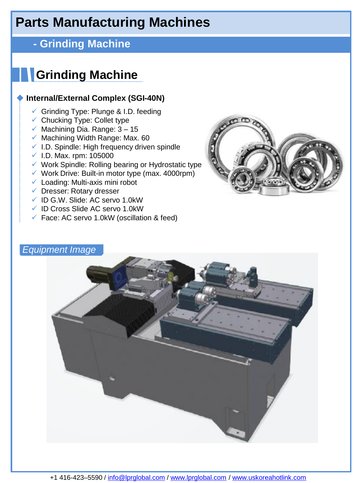## **- Grinding Machine**

# **Grinding Machine**

#### **Internal/External Complex (SGI-40N)**

- $\checkmark$  Grinding Type: Plunge & I.D. feeding
- $\checkmark$  Chucking Type: Collet type
- $\checkmark$  Machining Dia. Range: 3 15
- $\checkmark$  Machining Width Range: Max. 60
- ✓ I.D. Spindle: High frequency driven spindle
- $\times$  I.D. Max. rpm: 105000
- ✓ Work Spindle: Rolling bearing or Hydrostatic type
- $\checkmark$  Work Drive: Built-in motor type (max. 4000rpm)
- $\checkmark$  Loading: Multi-axis mini robot
- ✓ Dresser: Rotary dresser
- ✓ ID G.W. Slide: AC servo 1.0kW
- ✓ ID Cross Slide AC servo 1.0kW
- $\checkmark$  Face: AC servo 1.0kW (oscillation & feed)



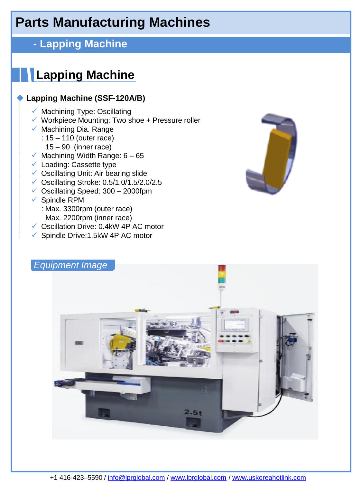## **- Lapping Machine**

# **Lapping Machine**

#### **Lapping Machine (SSF-120A/B)**

- $\checkmark$  Machining Type: Oscillating
- $\checkmark$  Workpiece Mounting: Two shoe + Pressure roller
- $\checkmark$  Machining Dia. Range
	- : 15 110 (outer race)
		- $15 90$  (inner race)
- $\checkmark$  Machining Width Range: 6 65
- ✓ Loading: Cassette type
- ✓ Oscillating Unit: Air bearing slide
- ✓ Oscillating Stroke: 0.5/1.0/1.5/2.0/2.5
- $\checkmark$  Oscillating Speed: 300 2000fpm
- ✓ Spindle RPM
	- : Max. 3300rpm (outer race) Max. 2200rpm (inner race)
- ✓ Oscillation Drive: 0.4kW 4P AC motor
- ✓ Spindle Drive:1.5kW 4P AC motor